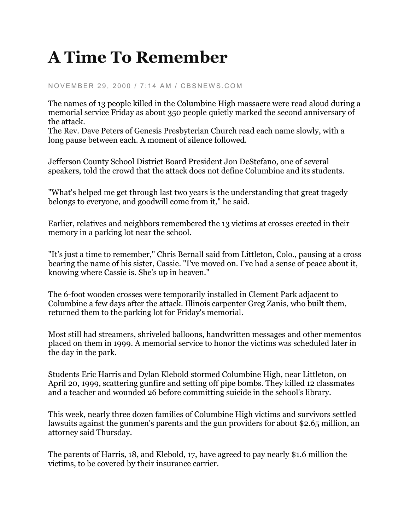## **A Time To Remember**

NOVEMBER 29, 2000 / 7:14 AM / CBS NEWS.COM

The names of 13 people killed in the Columbine High massacre were read aloud during a memorial service Friday as about 350 people quietly marked the second anniversary of the attack.

The Rev. Dave Peters of Genesis Presbyterian Church read each name slowly, with a long pause between each. A moment of silence followed.

Jefferson County School District Board President Jon DeStefano, one of several speakers, told the crowd that the attack does not define Columbine and its students.

"What's helped me get through last two years is the understanding that great tragedy belongs to everyone, and goodwill come from it," he said.

Earlier, relatives and neighbors remembered the 13 victims at crosses erected in their memory in a parking lot near the school.

"It's just a time to remember," Chris Bernall said from Littleton, Colo., pausing at a cross bearing the name of his sister, Cassie. "I've moved on. I've had a sense of peace about it, knowing where Cassie is. She's up in heaven."

The 6-foot wooden crosses were temporarily installed in Clement Park adjacent to Columbine a few days after the attack. Illinois carpenter Greg Zanis, who built them, returned them to the parking lot for Friday's memorial.

Most still had streamers, shriveled balloons, handwritten messages and other mementos placed on them in 1999. A memorial service to honor the victims was scheduled later in the day in the park.

Students Eric Harris and Dylan Klebold stormed Columbine High, near Littleton, on April 20, 1999, scattering gunfire and setting off pipe bombs. They killed 12 classmates and a teacher and wounded 26 before committing suicide in the school's library.

This week, nearly three dozen families of Columbine High victims and survivors settled lawsuits against the gunmen's parents and the gun providers for about \$2.65 million, an attorney said Thursday.

The parents of Harris, 18, and Klebold, 17, have agreed to pay nearly \$1.6 million the victims, to be covered by their insurance carrier.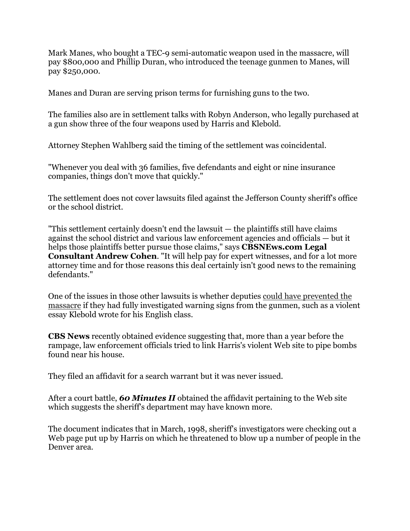Mark Manes, who bought a TEC-9 semi-automatic weapon used in the massacre, will pay \$800,000 and Phillip Duran, who introduced the teenage gunmen to Manes, will pay \$250,000.

Manes and Duran are serving prison terms for furnishing guns to the two.

The families also are in settlement talks with Robyn Anderson, who legally purchased at a gun show three of the four weapons used by Harris and Klebold.

Attorney Stephen Wahlberg said the timing of the settlement was coincidental.

"Whenever you deal with 36 families, five defendants and eight or nine insurance companies, things don't move that quickly."

The settlement does not cover lawsuits filed against the Jefferson County sheriff's office or the school district.

"This settlement certainly doesn't end the lawsuit — the plaintiffs still have claims against the school district and various law enforcement agencies and officials — but it helps those plaintiffs better pursue those claims," says **CBSNEws.com Legal Consultant Andrew Cohen**. "It will help pay for expert witnesses, and for a lot more attorney time and for those reasons this deal certainly isn't good news to the remaining defendants."

One of the issues in those other lawsuits is whether deputies [could have prevented the](http://284525.story/)  [massacre](http://284525.story/) if they had fully investigated warning signs from the gunmen, such as a violent essay Klebold wrote for his English class.

**CBS News** recently obtained evidence suggesting that, more than a year before the rampage, law enforcement officials tried to link Harris's violent Web site to pipe bombs found near his house.

They filed an affidavit for a search warrant but it was never issued.

After a court battle, *60 Minutes II* obtained the affidavit pertaining to the Web site which suggests the sheriff's department may have known more.

The document indicates that in March, 1998, sheriff's investigators were checking out a Web page put up by Harris on which he threatened to blow up a number of people in the Denver area.